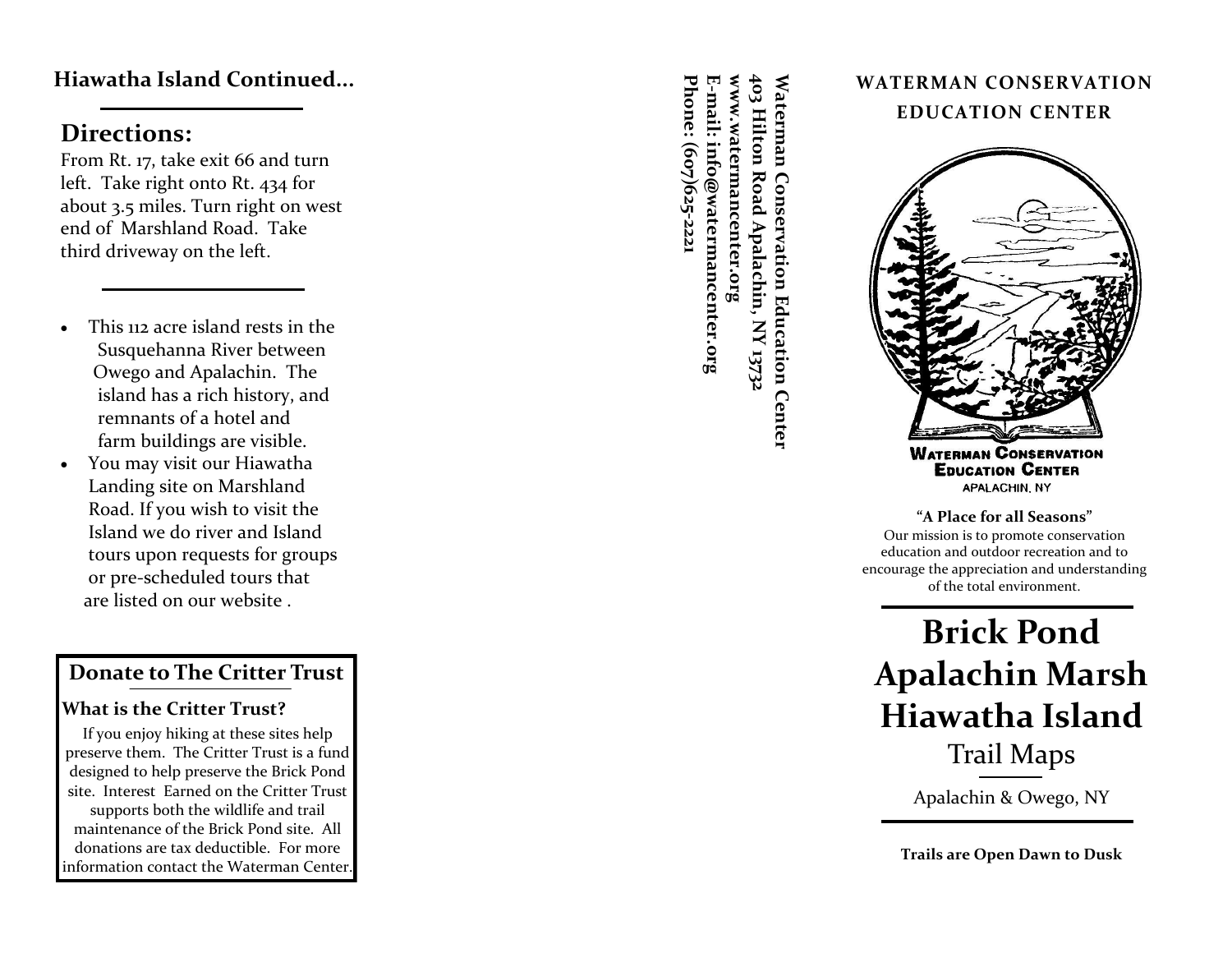#### **Hiawatha Island Continued...**

### **Directions:**

From Rt. 17, take exit 66 and turn left. Take right onto Rt. 434 for about 3.5 miles. Turn right on west end of Marshland Road. Take third driveway on the left.

- This 112 acre island rests in the Susquehanna River between Owego and Apalachin. The island has a rich history, and remnants of a hotel and farm buildings are visible.
- You may visit our Hiawatha Landing site on Marshland Road. If you wish to visit the Island we do river and Island tours upon requests for groups or pre -scheduled tours that are listed on our website .

#### **Donate to The Critter Trust**

#### **What is the Critter Trust?**

If you enjoy hiking at these sites help preserve them. The Critter Trust is a fund designed to help preserve the Brick Pond site. Interest Earned on the Critter Trust supports both the wildlife and trail maintenance of the Brick Pond site. All donations are tax deductible. For more information contact the Waterman Center.

**www.watermancenter.org 403 Hilton Road Apalachin, NY 13732 Phone: (607)625-2221**  Waterman Conservation Education Center<br>403 Hilton Road Apalachin, NY 13732<br>www.watermancenter.org Phone: (607)625-222: E-mail: info@watermancenter.org

#### **WATERMAN CONSERVATION EDUCATION CENTER**



**EDUCATION CENTER** APALACHIN NY

**"A Place for all Seasons"** Our mission is to promote conservation education and outdoor recreation and to encourage the appreciation and understanding of the total environment.

# **Brick Pond Apalachin Marsh Hiawatha Island** Trail Maps

Apalachin & Owego, NY

**Trails are Open Dawn to Dusk**